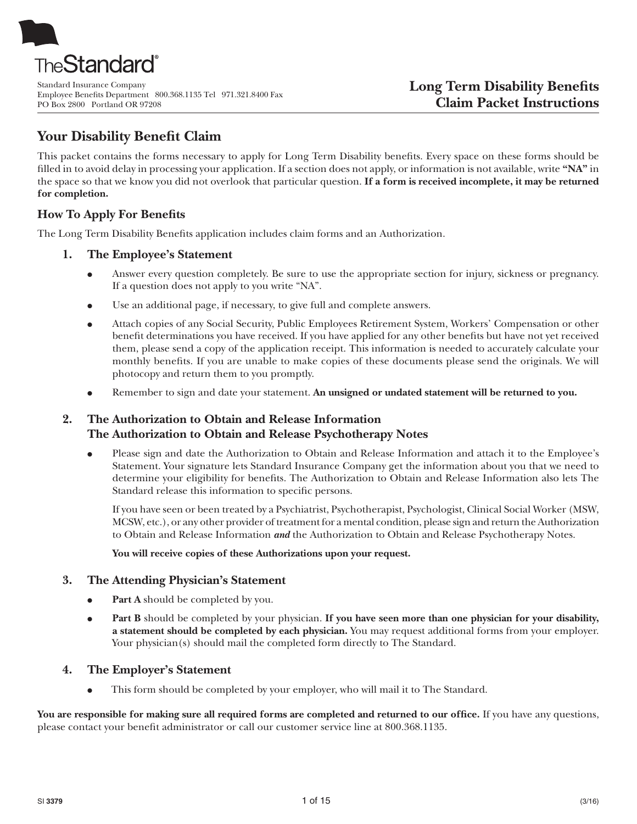

Standard Insurance Company Employee Benefits Department 800.368.1135 Tel 971.321.8400 Fax PO Box 2800 Portland OR 97208

# **Your Disability Benefit Claim**

This packet contains the forms necessary to apply for Long Term Disability benefits. Every space on these forms should be filled in to avoid delay in processing your application. If a section does not apply, or information is not available, write **"NA"** in the space so that we know you did not overlook that particular question. **If a form is received incomplete, it may be returned for completion.**

# **How To Apply For Benefits**

The Long Term Disability Benefits application includes claim forms and an Authorization.

# **1. The Employee's Statement**

- Answer every question completely. Be sure to use the appropriate section for injury, sickness or pregnancy. If a question does not apply to you write "NA".
- Use an additional page, if necessary, to give full and complete answers.
- Attach copies of any Social Security, Public Employees Retirement System, Workers' Compensation or other benefit determinations you have received. If you have applied for any other benefits but have not yet received them, please send a copy of the application receipt. This information is needed to accurately calculate your monthly benefits. If you are unable to make copies of these documents please send the originals. We will photocopy and return them to you promptly.
- Remember to sign and date your statement. An unsigned or undated statement will be returned to you.

# **2. The Authorization to Obtain and Release Information The Authorization to Obtain and Release Psychotherapy Notes**

Please sign and date the Authorization to Obtain and Release Information and attach it to the Employee's Statement. Your signature lets Standard Insurance Company get the information about you that we need to determine your eligibility for benefits. The Authorization to Obtain and Release Information also lets The Standard release this information to specific persons.

If you have seen or been treated by a Psychiatrist, Psychotherapist, Psychologist, Clinical Social Worker (MSW, MCSW, etc.), or any other provider of treatment for a mental condition, please sign and return the Authorization to Obtain and Release Information *and* the Authorization to Obtain and Release Psychotherapy Notes.

**You will receive copies of these Authorizations upon your request.**

# **3. The Attending Physician's Statement**

- **Part A** should be completed by you.
- **Part B** should be completed by your physician. If you have seen more than one physician for your disability, **a statement should be completed by each physician.** You may request additional forms from your employer. Your physician(s) should mail the completed form directly to The Standard.

# **4. The Employer's Statement**

This form should be completed by your employer, who will mail it to The Standard.

You are responsible for making sure all required forms are completed and returned to our office. If you have any questions, please contact your benefit administrator or call our customer service line at 800.368.1135.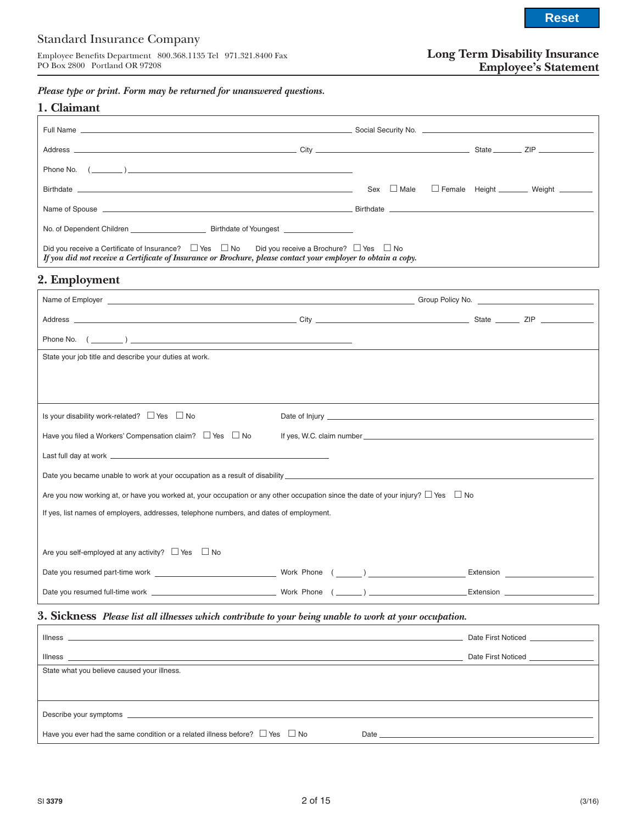PO Box 2800 Portland OR 97208

# **Long Term Disability Insurance Employee's Statement**

*Please type or print. Form may be returned for unanswered questions.*

| 1. Claimant                                                                                                                                                                                                                        |                                                     |
|------------------------------------------------------------------------------------------------------------------------------------------------------------------------------------------------------------------------------------|-----------------------------------------------------|
|                                                                                                                                                                                                                                    |                                                     |
|                                                                                                                                                                                                                                    |                                                     |
| Phone No. $(\_\_)$                                                                                                                                                                                                                 |                                                     |
|                                                                                                                                                                                                                                    | Sex □ Male □ Female Height ________ Weight ________ |
| Name of Spouse example, the contract of the contract of the contract of the contract of the contract of the contract of the contract of the contract of the contract of the contract of the contract of the contract of the co     |                                                     |
| No. of Dependent Children <b>Example 20</b> Birthdate of Youngest                                                                                                                                                                  |                                                     |
| Did you receive a Certificate of Insurance? $\Box$ Yes $\Box$ No Did you receive a Brochure? $\Box$ Yes $\Box$ No<br>If you did not receive a Certificate of Insurance or Brochure, please contact your employer to obtain a copy. |                                                     |

# **2. Employment**

| Phone No. $(\_\_)$                                                                                                                         |  |
|--------------------------------------------------------------------------------------------------------------------------------------------|--|
| State your job title and describe your duties at work.                                                                                     |  |
|                                                                                                                                            |  |
|                                                                                                                                            |  |
| Is your disability work-related? $\Box$ Yes $\Box$ No                                                                                      |  |
| Have you filed a Workers' Compensation claim? $\Box$ Yes $\Box$ No                                                                         |  |
|                                                                                                                                            |  |
|                                                                                                                                            |  |
| Are you now working at, or have you worked at, your occupation or any other occupation since the date of your injury? $\Box$ Yes $\Box$ No |  |
| If yes, list names of employers, addresses, telephone numbers, and dates of employment.                                                    |  |
|                                                                                                                                            |  |
| Are you self-employed at any activity? $\Box$ Yes $\Box$ No                                                                                |  |
|                                                                                                                                            |  |
|                                                                                                                                            |  |

# **3. Sickness** *Please list all illnesses which contribute to your being unable to work at your occupation.*

|                                                                                                                                                                                                                               |                                                                                                                                                                                                                                | Date First Noticed <b>Example 2018</b> |
|-------------------------------------------------------------------------------------------------------------------------------------------------------------------------------------------------------------------------------|--------------------------------------------------------------------------------------------------------------------------------------------------------------------------------------------------------------------------------|----------------------------------------|
| Illness                                                                                                                                                                                                                       |                                                                                                                                                                                                                                | Date First Noticed <b>Example 20</b>   |
| State what you believe caused your illness.                                                                                                                                                                                   |                                                                                                                                                                                                                                |                                        |
|                                                                                                                                                                                                                               |                                                                                                                                                                                                                                |                                        |
|                                                                                                                                                                                                                               |                                                                                                                                                                                                                                |                                        |
|                                                                                                                                                                                                                               |                                                                                                                                                                                                                                |                                        |
| Describe your symptoms example and the set of the set of the set of the set of the set of the set of the set of the set of the set of the set of the set of the set of the set of the set of the set of the set of the set of |                                                                                                                                                                                                                                |                                        |
| Have you ever had the same condition or a related illness before? $\Box$ Yes $\Box$ No                                                                                                                                        | Date and the contract of the contract of the contract of the contract of the contract of the contract of the contract of the contract of the contract of the contract of the contract of the contract of the contract of the c |                                        |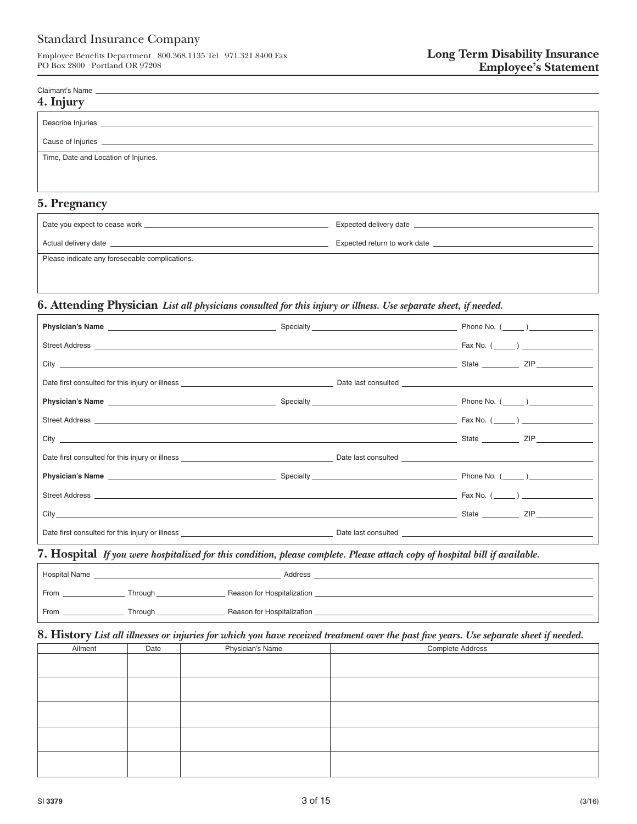Claimant's Name

Employee Benefits Department 800.368.1135 Tel 971.321.8400 Fax PO Box 2800 Portland OR 97208

| 4. Injury                                      |                                                                                                                                                                                                                                |
|------------------------------------------------|--------------------------------------------------------------------------------------------------------------------------------------------------------------------------------------------------------------------------------|
|                                                |                                                                                                                                                                                                                                |
|                                                |                                                                                                                                                                                                                                |
| Time, Date and Location of Injuries.           |                                                                                                                                                                                                                                |
|                                                |                                                                                                                                                                                                                                |
| 5. Pregnancy                                   |                                                                                                                                                                                                                                |
|                                                | Expected delivery date experience and the state of the state of the state of the state of the state of the state of the state of the state of the state of the state of the state of the state of the state of the state of th |
|                                                |                                                                                                                                                                                                                                |
| Please indicate any foreseeable complications. |                                                                                                                                                                                                                                |
|                                                |                                                                                                                                                                                                                                |

## **6. Attending Physician** *List all physicians consulted for this injury or illness. Use separate sheet, if needed.*

| Street Address <b>Example 20</b> Fax No. (Change 20 Fax No. (Change 20 Fax No. (Change 20 Fax No. (Change 20 Fax No. (Change 20 Fax No. (Change 20 Fax No. (Change 20 Fax No. (Change 20 Fax No. (Change 20 Fax No. (Change 20 Fax |                                                                                                                                                                                                                                     |  |
|------------------------------------------------------------------------------------------------------------------------------------------------------------------------------------------------------------------------------------|-------------------------------------------------------------------------------------------------------------------------------------------------------------------------------------------------------------------------------------|--|
|                                                                                                                                                                                                                                    |                                                                                                                                                                                                                                     |  |
|                                                                                                                                                                                                                                    |                                                                                                                                                                                                                                     |  |
|                                                                                                                                                                                                                                    |                                                                                                                                                                                                                                     |  |
|                                                                                                                                                                                                                                    |                                                                                                                                                                                                                                     |  |
|                                                                                                                                                                                                                                    |                                                                                                                                                                                                                                     |  |
|                                                                                                                                                                                                                                    |                                                                                                                                                                                                                                     |  |
|                                                                                                                                                                                                                                    |                                                                                                                                                                                                                                     |  |
|                                                                                                                                                                                                                                    |                                                                                                                                                                                                                                     |  |
|                                                                                                                                                                                                                                    | <u>State State State</u> State State State State State State State State State State State State State State State State State State State State State State State State State State State State State State State State State Stat |  |
| Date first consulted for this injury or illness example and the second consulted by the Date last consulted example of the second second second second second second second second second second second second second second s     |                                                                                                                                                                                                                                     |  |

## **7. Hospital** *If you were hospitalized for this condition, please complete. Please attach copy of hospital bill if available.*

| <b>Hospital Name</b> |         | Address                    |
|----------------------|---------|----------------------------|
| From                 | Through | Beason for Hospitalization |
| From                 | Through | Reason for Hospitalization |

## **8. History** *List all illnesses or injuries for which you have received treatment over the past five years. Use separate sheet if needed.*

| Ailment | Date | Physician's Name | Complete Address |
|---------|------|------------------|------------------|
|         |      |                  |                  |
|         |      |                  |                  |
|         |      |                  |                  |
|         |      |                  |                  |
|         |      |                  |                  |
|         |      |                  |                  |
|         |      |                  |                  |
|         |      |                  |                  |
|         |      |                  |                  |
|         |      |                  |                  |
|         |      |                  |                  |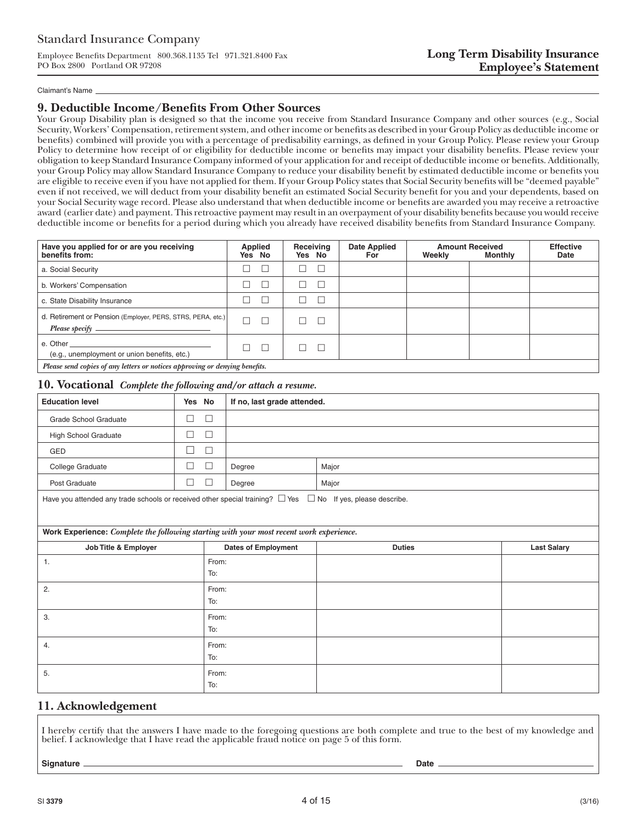Employee Benefits Department 800.368.1135 Tel 971.321.8400 Fax PO Box 2800 Portland OR 97208

#### Claimant's Name

### **9. Deductible Income/Benefits From Other Sources**

Your Group Disability plan is designed so that the income you receive from Standard Insurance Company and other sources (e.g., Social Security, Workers' Compensation, retirement system, and other income or benefits as described in your Group Policy as deductible income or benefits) combined will provide you with a percentage of predisability earnings, as defined in your Group Policy. Please review your Group Policy to determine how receipt of or eligibility for deductible income or benefits may impact your disability benefits. Please review your obligation to keep Standard Insurance Company informed of your application for and receipt of deductible income or benefits. Additionally, your Group Policy may allow Standard Insurance Company to reduce your disability benefit by estimated deductible income or benefits you are eligible to receive even if you have not applied for them. If your Group Policy states that Social Security benefits will be "deemed payable" even if not received, we will deduct from your disability benefit an estimated Social Security benefit for you and your dependents, based on your Social Security wage record. Please also understand that when deductible income or benefits are awarded you may receive a retroactive award (earlier date) and payment. This retroactive payment may result in an overpayment of your disability benefits because you would receive deductible income or benefits for a period during which you already have received disability benefits from Standard Insurance Company.

| Have you applied for or are you receiving<br>benefits from:                                                                                                                                                                                                                    | Applied<br>Yes No | Receiving<br>Yes No | <b>Date Applied</b><br>For | Weekly | <b>Amount Received</b><br><b>Monthly</b> | <b>Effective</b><br><b>Date</b> |
|--------------------------------------------------------------------------------------------------------------------------------------------------------------------------------------------------------------------------------------------------------------------------------|-------------------|---------------------|----------------------------|--------|------------------------------------------|---------------------------------|
| a. Social Security                                                                                                                                                                                                                                                             |                   |                     |                            |        |                                          |                                 |
| b. Workers' Compensation                                                                                                                                                                                                                                                       |                   |                     |                            |        |                                          |                                 |
| c. State Disability Insurance                                                                                                                                                                                                                                                  |                   |                     |                            |        |                                          |                                 |
| d. Retirement or Pension (Employer, PERS, STRS, PERA, etc.)<br>Please specify $\equiv$<br>the control of the control of the control of the                                                                                                                                     |                   |                     |                            |        |                                          |                                 |
| e. Other and the contract of the contract of the contract of the contract of the contract of the contract of the contract of the contract of the contract of the contract of the contract of the contract of the contract of t<br>(e.g., unemployment or union benefits, etc.) |                   |                     |                            |        |                                          |                                 |
| Please send copies of any letters or notices approving or denying benefits.                                                                                                                                                                                                    |                   |                     |                            |        |                                          |                                 |

# **10. Vocational** *Complete the following and/or attach a resume.*

| <b>Education level</b>                                                                                                | Yes No |              | If no, last grade attended. |               |                    |
|-----------------------------------------------------------------------------------------------------------------------|--------|--------------|-----------------------------|---------------|--------------------|
| <b>Grade School Graduate</b>                                                                                          | $\Box$ | $\Box$       |                             |               |                    |
| <b>High School Graduate</b>                                                                                           | $\Box$ | $\Box$       |                             |               |                    |
| GED                                                                                                                   | $\Box$ | $\Box$       |                             |               |                    |
| College Graduate                                                                                                      | $\Box$ | $\Box$       | Degree                      | Major         |                    |
| Post Graduate                                                                                                         | $\Box$ | $\Box$       | Degree                      | Major         |                    |
| Have you attended any trade schools or received other special training? $\Box$ Yes $\Box$ No If yes, please describe. |        |              |                             |               |                    |
| Work Experience: Complete the following starting with your most recent work experience.                               |        |              |                             |               |                    |
| Job Title & Employer                                                                                                  |        |              | <b>Dates of Employment</b>  | <b>Duties</b> | <b>Last Salary</b> |
| 1.                                                                                                                    |        | From:<br>To: |                             |               |                    |
| 2.                                                                                                                    |        | From:<br>To: |                             |               |                    |
| 3.                                                                                                                    |        | From:<br>To: |                             |               |                    |
| 4.                                                                                                                    |        | From:<br>To: |                             |               |                    |
| 5.                                                                                                                    |        | From:<br>To: |                             |               |                    |

## **11. Acknowledgement**

I hereby certify that the answers I have made to the foregoing questions are both complete and true to the best of my knowledge and belief. I acknowledge that I have read the applicable fraud notice on page 5 of this form.

**Signature Date**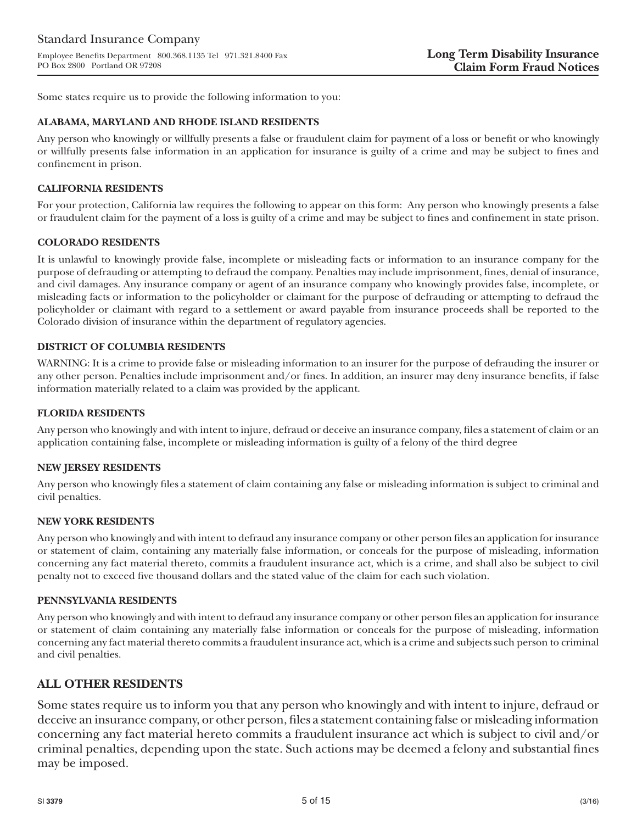Some states require us to provide the following information to you:

### **ALABAMA, MARYLAND AND RHODE ISLAND RESIDENTS**

Any person who knowingly or willfully presents a false or fraudulent claim for payment of a loss or benefit or who knowingly or willfully presents false information in an application for insurance is guilty of a crime and may be subject to fines and confinement in prison.

### **CALIFORNIA RESIDENTS**

For your protection, California law requires the following to appear on this form: Any person who knowingly presents a false or fraudulent claim for the payment of a loss is guilty of a crime and may be subject to fines and confinement in state prison.

### **COLORADO RESIDENTS**

It is unlawful to knowingly provide false, incomplete or misleading facts or information to an insurance company for the purpose of defrauding or attempting to defraud the company. Penalties may include imprisonment, fines, denial of insurance, and civil damages. Any insurance company or agent of an insurance company who knowingly provides false, incomplete, or misleading facts or information to the policyholder or claimant for the purpose of defrauding or attempting to defraud the policyholder or claimant with regard to a settlement or award payable from insurance proceeds shall be reported to the Colorado division of insurance within the department of regulatory agencies.

### **DISTRICT OF COLUMBIA RESIDENTS**

WARNING: It is a crime to provide false or misleading information to an insurer for the purpose of defrauding the insurer or any other person. Penalties include imprisonment and/or fines. In addition, an insurer may deny insurance benefits, if false information materially related to a claim was provided by the applicant.

### **FLORIDA RESIDENTS**

Any person who knowingly and with intent to injure, defraud or deceive an insurance company, files a statement of claim or an application containing false, incomplete or misleading information is guilty of a felony of the third degree

#### **NEW JERSEY RESIDENTS**

Any person who knowingly files a statement of claim containing any false or misleading information is subject to criminal and civil penalties.

#### **NEW YORK RESIDENTS**

Any person who knowingly and with intent to defraud any insurance company or other person files an application for insurance or statement of claim, containing any materially false information, or conceals for the purpose of misleading, information concerning any fact material thereto, commits a fraudulent insurance act, which is a crime, and shall also be subject to civil penalty not to exceed five thousand dollars and the stated value of the claim for each such violation.

#### **PENNSYLVANIA RESIDENTS**

Any person who knowingly and with intent to defraud any insurance company or other person files an application for insurance or statement of claim containing any materially false information or conceals for the purpose of misleading, information concerning any fact material thereto commits a fraudulent insurance act, which is a crime and subjects such person to criminal and civil penalties.

# **ALL OTHER RESIDENTS**

Some states require us to inform you that any person who knowingly and with intent to injure, defraud or deceive an insurance company, or other person, files a statement containing false or misleading information concerning any fact material hereto commits a fraudulent insurance act which is subject to civil and/or criminal penalties, depending upon the state. Such actions may be deemed a felony and substantial fines may be imposed.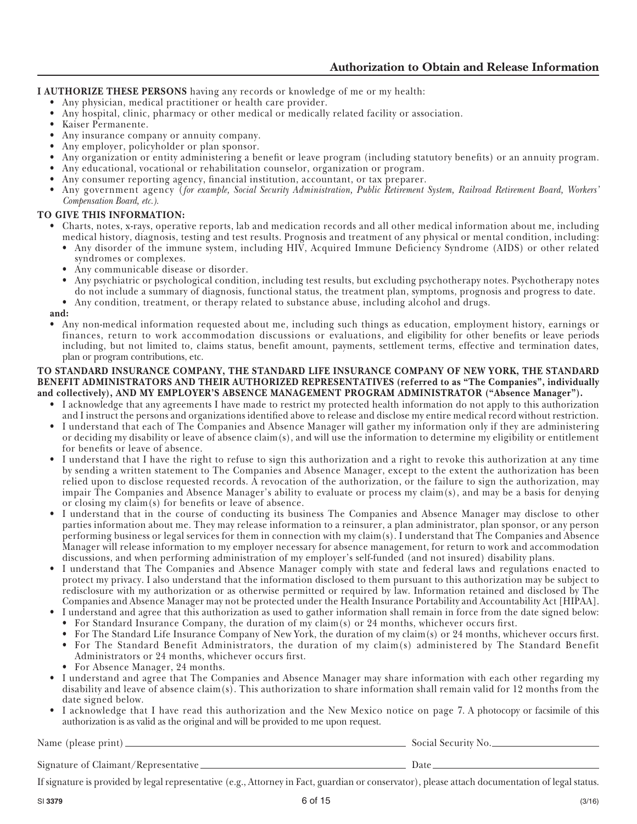**I AUTHORIZE THESE PERSONS** having any records or knowledge of me or my health:

- Any physician, medical practitioner or health care provider.
- Any hospital, clinic, pharmacy or other medical or medically related facility or association.<br>• Kaiser Permanente
- Kaiser Permanente.
- Any insurance company or annuity company.
- Any employer, policyholder or plan sponsor.
- Any organization or entity administering a benefit or leave program (including statutory benefits) or an annuity program.
- Any educational, vocational or rehabilitation counselor, organization or program.
- Any consumer reporting agency, financial institution, accountant, or tax preparer.
- Any government agency (*for example, Social Security Administration, Public Retirement System, Railroad Retirement Board, Workers' Compensation Board, etc.).*

## **TO GIVE THIS INFORMATION:**

- Charts, notes, x-rays, operative reports, lab and medication records and all other medical information about me, including medical history, diagnosis, testing and test results. Prognosis and treatment of any physical or mental condition, including:
	- Any disorder of the immune system, including HIV, Acquired Immune Deficiency Syndrome (AIDS) or other related syndromes or complexes.
	- Any communicable disease or disorder.
	- Any psychiatric or psychological condition, including test results, but excluding psychotherapy notes. Psychotherapy notes do not include a summary of diagnosis, functional status, the treatment plan, symptoms, prognosis and progress to date.
	- Any condition, treatment, or therapy related to substance abuse, including alcohol and drugs.

**and:** 

• Any non-medical information requested about me, including such things as education, employment history, earnings or finances, return to work accommodation discussions or evaluations, and eligibility for other benefits or leave periods including, but not limited to, claims status, benefit amount, payments, settlement terms, effective and termination dates, plan or program contributions, etc.

#### **TO STANDARD INSURANCE COMPANY, THE STANDARD LIFE INSURANCE COMPANY OF NEW YORK, THE STANDARD BENEFIT ADMINISTRATORS AND THEIR AUTHORIZED REPRESENTATIVES (referred to as "The Companies", individually and collectively), AND MY EMPLOYER'S ABSENCE MANAGEMENT PROGRAM ADMINISTRATOR ("Absence Manager").**

- I acknowledge that any agreements I have made to restrict my protected health information do not apply to this authorization and I instruct the persons and organizations identified above to release and disclose my entire medical record without restriction.
- I understand that each of The Companies and Absence Manager will gather my information only if they are administering or deciding my disability or leave of absence claim(s), and will use the information to determine my eligibility or entitlement for benefits or leave of absence.
- I understand that I have the right to refuse to sign this authorization and a right to revoke this authorization at any time by sending a written statement to The Companies and Absence Manager, except to the extent the authorization has been relied upon to disclose requested records. A revocation of the authorization, or the failure to sign the authorization, may impair The Companies and Absence Manager's ability to evaluate or process my claim(s), and may be a basis for denying or closing my claim(s) for benefits or leave of absence.
- I understand that in the course of conducting its business The Companies and Absence Manager may disclose to other parties information about me. They may release information to a reinsurer, a plan administrator, plan sponsor, or any person performing business or legal services for them in connection with my claim(s). I understand that The Companies and Absence Manager will release information to my employer necessary for absence management, for return to work and accommodation discussions, and when performing administration of my employer's self-funded (and not insured) disability plans.
- I understand that The Companies and Absence Manager comply with state and federal laws and regulations enacted to protect my privacy. I also understand that the information disclosed to them pursuant to this authorization may be subject to redisclosure with my authorization or as otherwise permitted or required by law. Information retained and disclosed by The Companies and Absence Manager may not be protected under the Health Insurance Portability and Accountability Act [HIPAA].
	- I understand and agree that this authorization as used to gather information shall remain in force from the date signed below:
	- For Standard Insurance Company, the duration of my claim(s) or 24 months, whichever occurs first.
	- For The Standard Life Insurance Company of New York, the duration of my claim(s) or 24 months, whichever occurs first.
	- For The Standard Benefit Administrators, the duration of my claim(s) administered by The Standard Benefit Administrators or 24 months, whichever occurs first.
	- For Absence Manager, 24 months.
- I understand and agree that The Companies and Absence Manager may share information with each other regarding my disability and leave of absence claim(s). This authorization to share information shall remain valid for 12 months from the date signed below.
- I acknowledge that I have read this authorization and the New Mexico notice on page 7. A photocopy or facsimile of this authorization is as valid as the original and will be provided to me upon request.

Name (please print) Social Security No.

Signature of Claimant/Representative Date

If signature is provided by legal representative (e.g., Attorney in Fact, guardian or conservator), please attach documentation of legal status.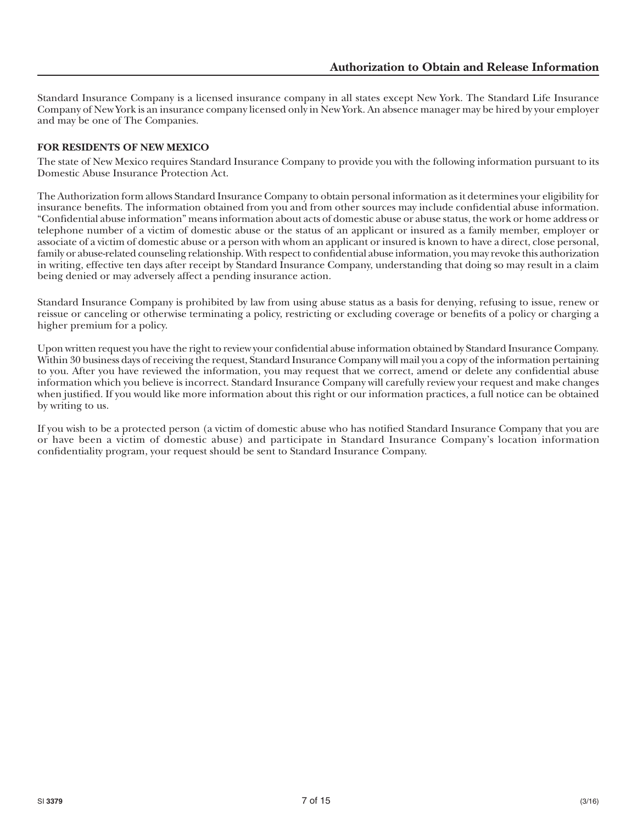Standard Insurance Company is a licensed insurance company in all states except New York. The Standard Life Insurance Company of New York is an insurance company licensed only in New York. An absence manager may be hired by your employer and may be one of The Companies.

# **FOR RESIDENTS OF NEW MEXICO**

The state of New Mexico requires Standard Insurance Company to provide you with the following information pursuant to its Domestic Abuse Insurance Protection Act.

The Authorization form allows Standard Insurance Company to obtain personal information as it determines your eligibility for insurance benefits. The information obtained from you and from other sources may include confidential abuse information. "Confidential abuse information" means information about acts of domestic abuse or abuse status, the work or home address or telephone number of a victim of domestic abuse or the status of an applicant or insured as a family member, employer or associate of a victim of domestic abuse or a person with whom an applicant or insured is known to have a direct, close personal, family or abuse-related counseling relationship. With respect to confidential abuse information, you may revoke this authorization in writing, effective ten days after receipt by Standard Insurance Company, understanding that doing so may result in a claim being denied or may adversely affect a pending insurance action.

Standard Insurance Company is prohibited by law from using abuse status as a basis for denying, refusing to issue, renew or reissue or canceling or otherwise terminating a policy, restricting or excluding coverage or benefits of a policy or charging a higher premium for a policy.

Upon written request you have the right to review your confidential abuse information obtained by Standard Insurance Company. Within 30 business days of receiving the request, Standard Insurance Company will mail you a copy of the information pertaining to you. After you have reviewed the information, you may request that we correct, amend or delete any confidential abuse information which you believe is incorrect. Standard Insurance Company will carefully review your request and make changes when justified. If you would like more information about this right or our information practices, a full notice can be obtained by writing to us.

If you wish to be a protected person (a victim of domestic abuse who has notified Standard Insurance Company that you are or have been a victim of domestic abuse) and participate in Standard Insurance Company's location information confidentiality program, your request should be sent to Standard Insurance Company.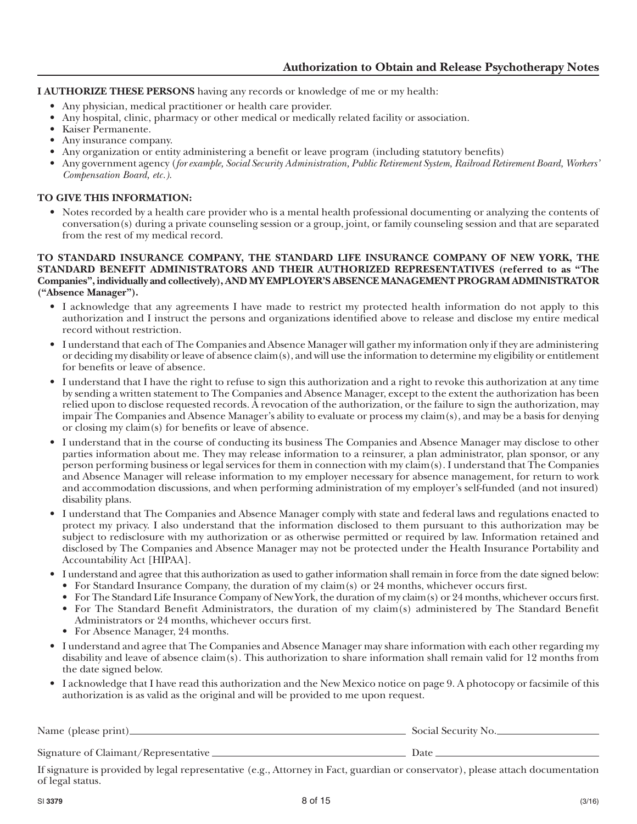**I AUTHORIZE THESE PERSONS** having any records or knowledge of me or my health:

- Any physician, medical practitioner or health care provider.
- Any hospital, clinic, pharmacy or other medical or medically related facility or association.
- Kaiser Permanente.
- Any insurance company.
- Any organization or entity administering a benefit or leave program (including statutory benefits)
- Any government agency (*for example, Social Security Administration, Public Retirement System, Railroad Retirement Board, Workers' Compensation Board, etc.).*

## **TO GIVE THIS INFORMATION:**

• Notes recorded by a health care provider who is a mental health professional documenting or analyzing the contents of conversation(s) during a private counseling session or a group, joint, or family counseling session and that are separated from the rest of my medical record.

### **TO STANDARD INSURANCE COMPANY, THE STANDARD LIFE INSURANCE COMPANY OF NEW YORK, THE STANDARD BENEFIT ADMINISTRATORS AND THEIR AUTHORIZED REPRESENTATIVES (referred to as "The Companies", individually and collectively), AND MY EMPLOYER'S ABSENCE MANAGEMENT PROGRAM ADMINISTRATOR ("Absence Manager").**

- I acknowledge that any agreements I have made to restrict my protected health information do not apply to this authorization and I instruct the persons and organizations identified above to release and disclose my entire medical record without restriction.
- I understand that each of The Companies and Absence Manager will gather my information only if they are administering or deciding my disability or leave of absence claim(s), and will use the information to determine my eligibility or entitlement for benefits or leave of absence.
- I understand that I have the right to refuse to sign this authorization and a right to revoke this authorization at any time by sending a written statement to The Companies and Absence Manager, except to the extent the authorization has been relied upon to disclose requested records. A revocation of the authorization, or the failure to sign the authorization, may impair The Companies and Absence Manager's ability to evaluate or process my claim(s), and may be a basis for denying or closing my claim(s) for benefits or leave of absence.
- I understand that in the course of conducting its business The Companies and Absence Manager may disclose to other parties information about me. They may release information to a reinsurer, a plan administrator, plan sponsor, or any person performing business or legal services for them in connection with my claim(s). I understand that The Companies and Absence Manager will release information to my employer necessary for absence management, for return to work and accommodation discussions, and when performing administration of my employer's self-funded (and not insured) disability plans.
- I understand that The Companies and Absence Manager comply with state and federal laws and regulations enacted to protect my privacy. I also understand that the information disclosed to them pursuant to this authorization may be subject to redisclosure with my authorization or as otherwise permitted or required by law. Information retained and disclosed by The Companies and Absence Manager may not be protected under the Health Insurance Portability and Accountability Act [HIPAA].
- I understand and agree that this authorization as used to gather information shall remain in force from the date signed below:
	- For Standard Insurance Company, the duration of my claim(s) or 24 months, whichever occurs first.
	- For The Standard Life Insurance Company of New York, the duration of my claim(s) or 24 months, whichever occurs first. • For The Standard Benefit Administrators, the duration of my claim(s) administered by The Standard Benefit Administrators or 24 months, whichever occurs first.
	- For Absence Manager, 24 months.
- I understand and agree that The Companies and Absence Manager may share information with each other regarding my disability and leave of absence claim(s). This authorization to share information shall remain valid for 12 months from the date signed below.
- I acknowledge that I have read this authorization and the New Mexico notice on page 9. A photocopy or facsimile of this authorization is as valid as the original and will be provided to me upon request.

| Name (please print)                  | Social Security No. |  |  |  |
|--------------------------------------|---------------------|--|--|--|
|                                      |                     |  |  |  |
| Signature of Claimant/Representative | Date                |  |  |  |
| $  -$                                |                     |  |  |  |

If signature is provided by legal representative (e.g., Attorney in Fact, guardian or conservator), please attach documentation of legal status.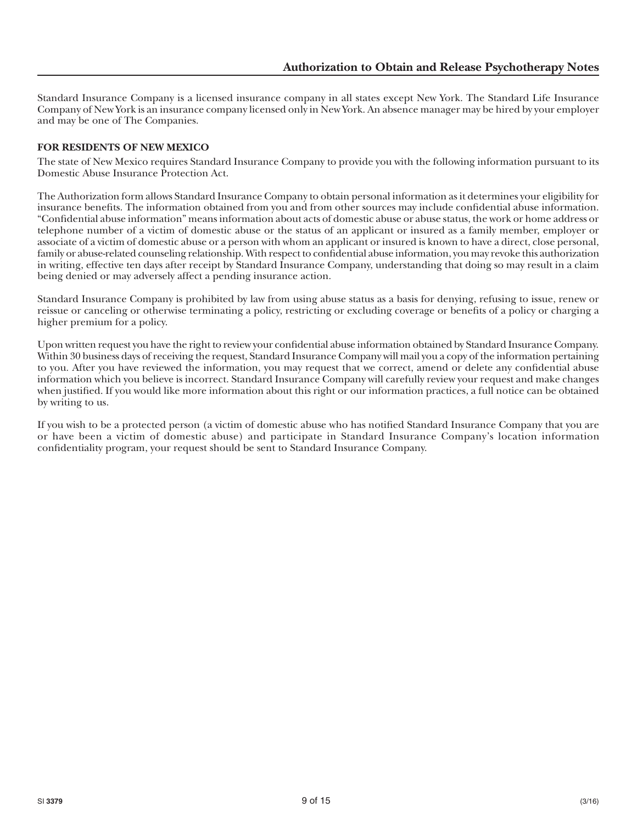Standard Insurance Company is a licensed insurance company in all states except New York. The Standard Life Insurance Company of New York is an insurance company licensed only in New York. An absence manager may be hired by your employer and may be one of The Companies.

## **FOR RESIDENTS OF NEW MEXICO**

The state of New Mexico requires Standard Insurance Company to provide you with the following information pursuant to its Domestic Abuse Insurance Protection Act.

The Authorization form allows Standard Insurance Company to obtain personal information as it determines your eligibility for insurance benefits. The information obtained from you and from other sources may include confidential abuse information. "Confidential abuse information" means information about acts of domestic abuse or abuse status, the work or home address or telephone number of a victim of domestic abuse or the status of an applicant or insured as a family member, employer or associate of a victim of domestic abuse or a person with whom an applicant or insured is known to have a direct, close personal, family or abuse-related counseling relationship. With respect to confidential abuse information, you may revoke this authorization in writing, effective ten days after receipt by Standard Insurance Company, understanding that doing so may result in a claim being denied or may adversely affect a pending insurance action.

Standard Insurance Company is prohibited by law from using abuse status as a basis for denying, refusing to issue, renew or reissue or canceling or otherwise terminating a policy, restricting or excluding coverage or benefits of a policy or charging a higher premium for a policy.

Upon written request you have the right to review your confidential abuse information obtained by Standard Insurance Company. Within 30 business days of receiving the request, Standard Insurance Company will mail you a copy of the information pertaining to you. After you have reviewed the information, you may request that we correct, amend or delete any confidential abuse information which you believe is incorrect. Standard Insurance Company will carefully review your request and make changes when justified. If you would like more information about this right or our information practices, a full notice can be obtained by writing to us.

If you wish to be a protected person (a victim of domestic abuse who has notified Standard Insurance Company that you are or have been a victim of domestic abuse) and participate in Standard Insurance Company's location information confidentiality program, your request should be sent to Standard Insurance Company.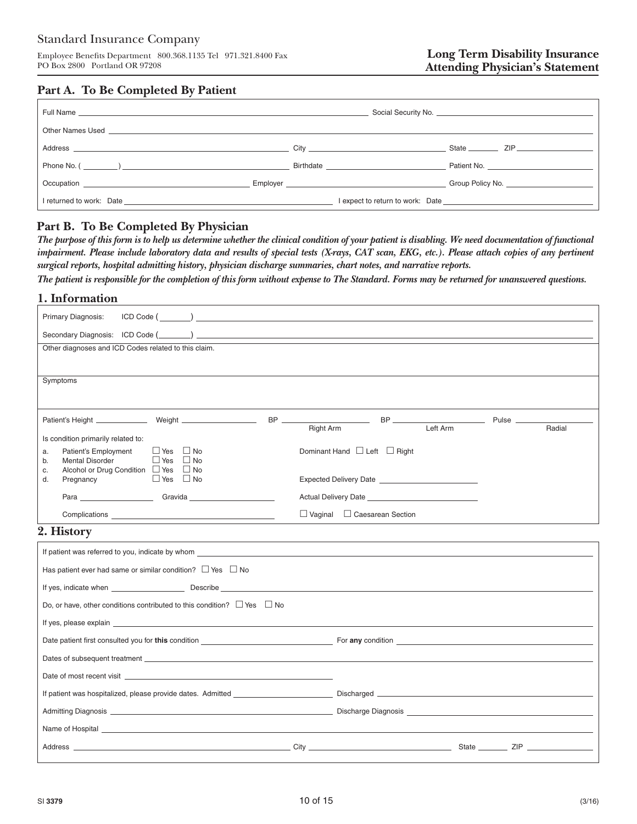Employee Benefits Department 800.368.1135 Tel 971.321.8400 Fax PO Box 2800 Portland OR 97208

# **Part A. To Be Completed By Patient**

| Address contract to the contract of the contract of the contract of the contract of the contract of the contract of the contract of the contract of the contract of the contract of the contract of the contract of the contra |                                                                                                                                                                                                                                |                  |
|--------------------------------------------------------------------------------------------------------------------------------------------------------------------------------------------------------------------------------|--------------------------------------------------------------------------------------------------------------------------------------------------------------------------------------------------------------------------------|------------------|
|                                                                                                                                                                                                                                | <b>Birthdate Example 2018</b>                                                                                                                                                                                                  | Patient No.      |
|                                                                                                                                                                                                                                | Employer and the state of the state of the state of the state of the state of the state of the state of the state of the state of the state of the state of the state of the state of the state of the state of the state of t | Group Policy No. |
|                                                                                                                                                                                                                                |                                                                                                                                                                                                                                |                  |

# **Part B. To Be Completed By Physician**

*The purpose of this form is to help us determine whether the clinical condition of your patient is disabling. We need documentation of functional impairment. Please include laboratory data and results of special tests (X-rays, CAT scan, EKG, etc.). Please attach copies of any pertinent surgical reports, hospital admitting history, physician discharge summaries, chart notes, and narrative reports.*

*The patient is responsible for the completion of this form without expense to The Standard. Forms may be returned for unanswered questions.*

# **1. Information**

| Primary Diagnosis:                                                                                                                                                                                                             | ICD Code (                                                                                                                                                                                                                         |  |  |  |  |
|--------------------------------------------------------------------------------------------------------------------------------------------------------------------------------------------------------------------------------|------------------------------------------------------------------------------------------------------------------------------------------------------------------------------------------------------------------------------------|--|--|--|--|
|                                                                                                                                                                                                                                |                                                                                                                                                                                                                                    |  |  |  |  |
| Other diagnoses and ICD Codes related to this claim.                                                                                                                                                                           |                                                                                                                                                                                                                                    |  |  |  |  |
|                                                                                                                                                                                                                                |                                                                                                                                                                                                                                    |  |  |  |  |
| Symptoms                                                                                                                                                                                                                       |                                                                                                                                                                                                                                    |  |  |  |  |
|                                                                                                                                                                                                                                |                                                                                                                                                                                                                                    |  |  |  |  |
|                                                                                                                                                                                                                                | Left Arm<br>Radial                                                                                                                                                                                                                 |  |  |  |  |
| Is condition primarily related to:                                                                                                                                                                                             | Right Arm                                                                                                                                                                                                                          |  |  |  |  |
| $\Box$ Yes $\Box$ No<br>Patient's Employment<br>a.<br>$\Box$ Yes $\Box$ No<br><b>Mental Disorder</b><br>b.                                                                                                                     | Dominant Hand $\Box$ Left $\Box$ Right                                                                                                                                                                                             |  |  |  |  |
| Alcohol or Drug Condition □ Yes □ No<br>c.<br>$\Box$ Yes $\Box$ No<br>d.<br>Pregnancy                                                                                                                                          |                                                                                                                                                                                                                                    |  |  |  |  |
|                                                                                                                                                                                                                                | <b>Actual Delivery Date Contract Contract Contract Contract Contract Contract Contract Contract Contract Contract Contract Contract Contract Contract Contract Contract Contract Contract Contract Contract Contract Contract </b> |  |  |  |  |
|                                                                                                                                                                                                                                |                                                                                                                                                                                                                                    |  |  |  |  |
| $\Box$ Vaginal $\Box$ Caesarean Section                                                                                                                                                                                        |                                                                                                                                                                                                                                    |  |  |  |  |
| 2. History                                                                                                                                                                                                                     |                                                                                                                                                                                                                                    |  |  |  |  |
| If patient was referred to you, indicate by whom                                                                                                                                                                               |                                                                                                                                                                                                                                    |  |  |  |  |
| Has patient ever had same or similar condition? $\Box$ Yes $\Box$ No                                                                                                                                                           |                                                                                                                                                                                                                                    |  |  |  |  |
| If yes, indicate when substitution of the second position of the second position of the second position of the second position of the second position of the second position of the second position of the second position of  |                                                                                                                                                                                                                                    |  |  |  |  |
| Do, or have, other conditions contributed to this condition? $\Box$ Yes $\Box$ No                                                                                                                                              |                                                                                                                                                                                                                                    |  |  |  |  |
| If yes, please explain explaint that the contract of the contract of the contract of the contract of the contract of the contract of the contract of the contract of the contract of the contract of the contract of the contr |                                                                                                                                                                                                                                    |  |  |  |  |
|                                                                                                                                                                                                                                | Date patient first consulted you for this condition example to the condition of the condition of the condition of the condition of the condition of the condition of the condition of the condition of the condition of the co     |  |  |  |  |
| Dates of subsequent treatment Learning and the contract of the contract of the contract of subsequent treatment Learning and the contract of the contract of the contract of the contract of the contract of the contract of t |                                                                                                                                                                                                                                    |  |  |  |  |
|                                                                                                                                                                                                                                |                                                                                                                                                                                                                                    |  |  |  |  |
|                                                                                                                                                                                                                                |                                                                                                                                                                                                                                    |  |  |  |  |
|                                                                                                                                                                                                                                |                                                                                                                                                                                                                                    |  |  |  |  |
|                                                                                                                                                                                                                                |                                                                                                                                                                                                                                    |  |  |  |  |
|                                                                                                                                                                                                                                |                                                                                                                                                                                                                                    |  |  |  |  |
|                                                                                                                                                                                                                                |                                                                                                                                                                                                                                    |  |  |  |  |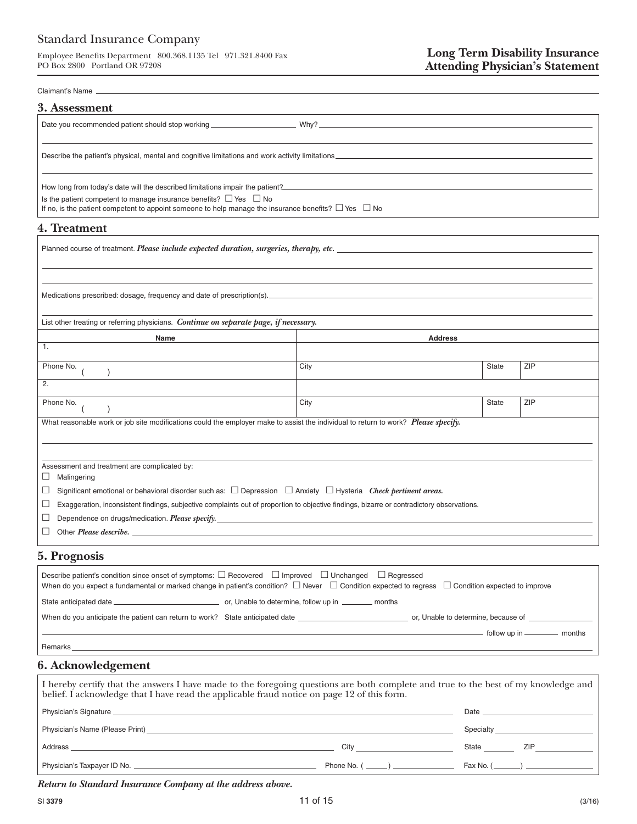Employee Benefits Department 800.368.1135 Tel 971.321.8400 Fax PO Box 2800 Portland OR 97208

#### Claimant's Name

| 3. Assessment                                                                                                  |
|----------------------------------------------------------------------------------------------------------------|
|                                                                                                                |
|                                                                                                                |
| Describe the patient's physical, mental and cognitive limitations and work activity limitations                |
|                                                                                                                |
| How long from today's date will the described limitations impair the patient?<br>The patient?                  |
| Is the patient competent to manage insurance benefits? $\Box$ Yes $\Box$ No                                    |
| If no, is the patient competent to appoint someone to help manage the insurance benefits? $\Box$ Yes $\Box$ No |
| 1 Treatment                                                                                                    |

#### **4. Treatment**

| Planned course of treatment. <i>Please include expected duration, surgeries, therapy, etc.</i>                                                                                                                                 |      |                |     |  |  |  |  |  |
|--------------------------------------------------------------------------------------------------------------------------------------------------------------------------------------------------------------------------------|------|----------------|-----|--|--|--|--|--|
|                                                                                                                                                                                                                                |      |                |     |  |  |  |  |  |
| Medications prescribed: dosage, frequency and date of prescription(s). [2012] The content of the content of the content of the content of the content of the content of the content of the content of the content of the conte |      |                |     |  |  |  |  |  |
| List other treating or referring physicians. Continue on separate page, if necessary.                                                                                                                                          |      |                |     |  |  |  |  |  |
| Name                                                                                                                                                                                                                           |      | <b>Address</b> |     |  |  |  |  |  |
| $\overline{1}$ .                                                                                                                                                                                                               |      |                |     |  |  |  |  |  |
| Phone No.                                                                                                                                                                                                                      | City | <b>State</b>   | ZIP |  |  |  |  |  |
| 2.                                                                                                                                                                                                                             |      |                |     |  |  |  |  |  |
| Phone No.                                                                                                                                                                                                                      | City | <b>State</b>   | ZIP |  |  |  |  |  |
| What reasonable work or job site modifications could the employer make to assist the individual to return to work? Please specify.                                                                                             |      |                |     |  |  |  |  |  |
|                                                                                                                                                                                                                                |      |                |     |  |  |  |  |  |
|                                                                                                                                                                                                                                |      |                |     |  |  |  |  |  |
| Assessment and treatment are complicated by:<br>Malingering                                                                                                                                                                    |      |                |     |  |  |  |  |  |
| ⊔                                                                                                                                                                                                                              |      |                |     |  |  |  |  |  |
| Significant emotional or behavioral disorder such as: $\Box$ Depression $\Box$ Anxiety $\Box$ Hysteria Check pertinent areas.<br>⊔                                                                                             |      |                |     |  |  |  |  |  |
| Exaggeration, inconsistent findings, subjective complaints out of proportion to objective findings, bizarre or contradictory observations.<br>⊔                                                                                |      |                |     |  |  |  |  |  |
| Dependence on drugs/medication. <i>Please specify</i> .<br>⊔                                                                                                                                                                   |      |                |     |  |  |  |  |  |
| Other Please describe.<br>⊔                                                                                                                                                                                                    |      |                |     |  |  |  |  |  |
| <b>5. Prognosis</b>                                                                                                                                                                                                            |      |                |     |  |  |  |  |  |

# Describe patient's condition since onset of symptoms:  $\Box$  Recovered  $\Box$  Improved  $\Box$  Unchanged  $\Box$  Regressed When do you expect a fundamental or marked change in patient's condition?  $\Box$  Never  $\Box$  Condition expected to regress  $\Box$  Condition expected to improve State anticipated date or, Unable to determine, follow up in months When do you anticipate the patient can return to work? State anticipated date or, Unable to determine, because of \_ follow up in \_\_\_\_\_\_\_\_\_\_ months Remarks\_

# **6. Acknowledgement**

| I hereby certify that the answers I have made to the foregoing questions are both complete and true to the best of my knowledge and belief. I acknowledge that I have read the applicable fraud notice on page 12 of this form |  |                        |  |  |  |  |  |
|--------------------------------------------------------------------------------------------------------------------------------------------------------------------------------------------------------------------------------|--|------------------------|--|--|--|--|--|
| Physician's Signature experience and the contract of the contract of the contract of the contract of the contract of the contract of the contract of the contract of the contract of the contract of the contract of the contr |  |                        |  |  |  |  |  |
|                                                                                                                                                                                                                                |  |                        |  |  |  |  |  |
|                                                                                                                                                                                                                                |  | State ZIP              |  |  |  |  |  |
|                                                                                                                                                                                                                                |  | Phone No. $(\_\_\_\_)$ |  |  |  |  |  |

 *Return to Standard Insurance Company at the address above.*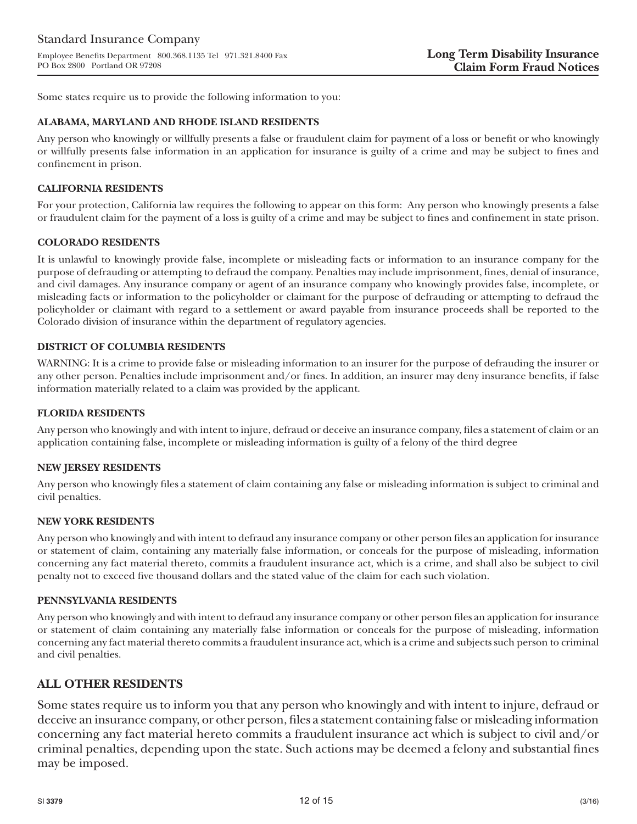Some states require us to provide the following information to you:

### **ALABAMA, MARYLAND AND RHODE ISLAND RESIDENTS**

Any person who knowingly or willfully presents a false or fraudulent claim for payment of a loss or benefit or who knowingly or willfully presents false information in an application for insurance is guilty of a crime and may be subject to fines and confinement in prison.

### **CALIFORNIA RESIDENTS**

For your protection, California law requires the following to appear on this form: Any person who knowingly presents a false or fraudulent claim for the payment of a loss is guilty of a crime and may be subject to fines and confinement in state prison.

### **COLORADO RESIDENTS**

It is unlawful to knowingly provide false, incomplete or misleading facts or information to an insurance company for the purpose of defrauding or attempting to defraud the company. Penalties may include imprisonment, fines, denial of insurance, and civil damages. Any insurance company or agent of an insurance company who knowingly provides false, incomplete, or misleading facts or information to the policyholder or claimant for the purpose of defrauding or attempting to defraud the policyholder or claimant with regard to a settlement or award payable from insurance proceeds shall be reported to the Colorado division of insurance within the department of regulatory agencies.

### **DISTRICT OF COLUMBIA RESIDENTS**

WARNING: It is a crime to provide false or misleading information to an insurer for the purpose of defrauding the insurer or any other person. Penalties include imprisonment and/or fines. In addition, an insurer may deny insurance benefits, if false information materially related to a claim was provided by the applicant.

### **FLORIDA RESIDENTS**

Any person who knowingly and with intent to injure, defraud or deceive an insurance company, files a statement of claim or an application containing false, incomplete or misleading information is guilty of a felony of the third degree

#### **NEW JERSEY RESIDENTS**

Any person who knowingly files a statement of claim containing any false or misleading information is subject to criminal and civil penalties.

#### **NEW YORK RESIDENTS**

Any person who knowingly and with intent to defraud any insurance company or other person files an application for insurance or statement of claim, containing any materially false information, or conceals for the purpose of misleading, information concerning any fact material thereto, commits a fraudulent insurance act, which is a crime, and shall also be subject to civil penalty not to exceed five thousand dollars and the stated value of the claim for each such violation.

#### **PENNSYLVANIA RESIDENTS**

Any person who knowingly and with intent to defraud any insurance company or other person files an application for insurance or statement of claim containing any materially false information or conceals for the purpose of misleading, information concerning any fact material thereto commits a fraudulent insurance act, which is a crime and subjects such person to criminal and civil penalties.

# **ALL OTHER RESIDENTS**

Some states require us to inform you that any person who knowingly and with intent to injure, defraud or deceive an insurance company, or other person, files a statement containing false or misleading information concerning any fact material hereto commits a fraudulent insurance act which is subject to civil and/or criminal penalties, depending upon the state. Such actions may be deemed a felony and substantial fines may be imposed.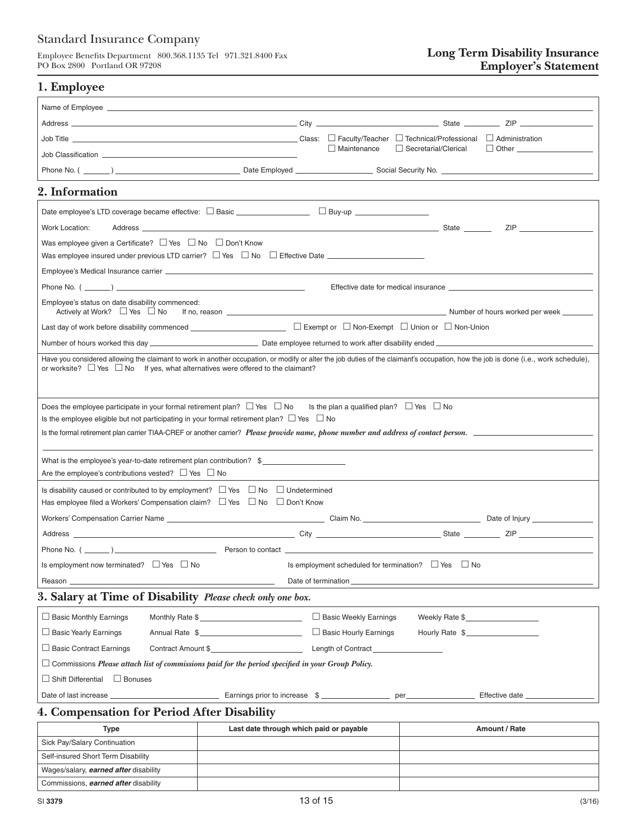Employee Benefits Department 800.368.1135 Tel 971.321.8400 Fax PO Box 2800 Portland OR 97208

# **Long Term Disability Insurance Employer's Statement**

|  |  | 1. Employee |
|--|--|-------------|
|--|--|-------------|

|                                                                                                                                                                                     |                                         |  | $\Box$ Maintenance                                  | Secretarial/Clerical |               |  |
|-------------------------------------------------------------------------------------------------------------------------------------------------------------------------------------|-----------------------------------------|--|-----------------------------------------------------|----------------------|---------------|--|
|                                                                                                                                                                                     |                                         |  |                                                     |                      |               |  |
| 2. Information                                                                                                                                                                      |                                         |  |                                                     |                      |               |  |
|                                                                                                                                                                                     |                                         |  |                                                     |                      |               |  |
| Work Location:                                                                                                                                                                      |                                         |  |                                                     |                      | ZIP           |  |
| Was employee given a Certificate? $\Box$ Yes $\Box$ No $\Box$ Don't Know                                                                                                            |                                         |  |                                                     |                      |               |  |
|                                                                                                                                                                                     |                                         |  |                                                     |                      |               |  |
|                                                                                                                                                                                     |                                         |  |                                                     |                      |               |  |
|                                                                                                                                                                                     |                                         |  |                                                     |                      |               |  |
| Employee's status on date disability commenced:<br>Actively at Work? $\Box$ Yes $\Box$ No                                                                                           |                                         |  |                                                     |                      |               |  |
|                                                                                                                                                                                     |                                         |  |                                                     |                      |               |  |
|                                                                                                                                                                                     |                                         |  |                                                     |                      |               |  |
| Have you considered allowing the claimant to work in another occupation, or modify or alter the job duties of the claimant's occupation, how the job is done (i.e., work schedule), |                                         |  |                                                     |                      |               |  |
| or worksite? $\Box$ Yes $\Box$ No If yes, what alternatives were offered to the claimant?                                                                                           |                                         |  |                                                     |                      |               |  |
|                                                                                                                                                                                     |                                         |  |                                                     |                      |               |  |
| Does the employee participate in your formal retirement plan? $\Box$ Yes $\Box$ No                                                                                                  |                                         |  | Is the plan a qualified plan? $\Box$ Yes $\Box$ No  |                      |               |  |
| Is the employee eligible but not participating in your formal retirement plan? $\Box$ Yes $\Box$ No                                                                                 |                                         |  |                                                     |                      |               |  |
| Is the formal retirement plan carrier TIAA-CREF or another carrier? Please provide name, phone number and address of contact person.                                                |                                         |  |                                                     |                      |               |  |
|                                                                                                                                                                                     |                                         |  |                                                     |                      |               |  |
| What is the employee's year-to-date retirement plan contribution? $\frac{1}{2}$                                                                                                     |                                         |  |                                                     |                      |               |  |
| Are the employee's contributions vested? $\Box$ Yes $\Box$ No                                                                                                                       |                                         |  |                                                     |                      |               |  |
| Is disability caused or contributed to by employment? $\Box$ Yes $\Box$ No $\Box$ Undetermined                                                                                      |                                         |  |                                                     |                      |               |  |
| Has employee filed a Workers' Compensation claim? $\Box$ Yes $\Box$ No $\Box$ Don't Know                                                                                            |                                         |  |                                                     |                      |               |  |
|                                                                                                                                                                                     |                                         |  |                                                     |                      |               |  |
|                                                                                                                                                                                     |                                         |  |                                                     |                      |               |  |
|                                                                                                                                                                                     |                                         |  |                                                     |                      |               |  |
| Is employment now terminated? □ Yes □ No                                                                                                                                            |                                         |  | Is employment scheduled for termination? $\Box$ Yes | $\Box$ No            |               |  |
| Date of termination_<br>Reason                                                                                                                                                      |                                         |  |                                                     |                      |               |  |
| 3. Salary at Time of Disability Please check only one box.                                                                                                                          |                                         |  |                                                     |                      |               |  |
| $\Box$ Basic Monthly Earnings                                                                                                                                                       | Monthly Rate \$                         |  | □ Basic Weekly Earnings                             | Weekly Rate \$       |               |  |
| □ Basic Yearly Earnings                                                                                                                                                             | Annual Rate \$                          |  | Basic Hourly Earnings                               | Hourly Rate \$       |               |  |
| $\Box$ Basic Contract Earnings                                                                                                                                                      | Contract Amount \$                      |  |                                                     |                      |               |  |
| $\Box$ Commissions Please attach list of commissions paid for the period specified in your Group Policy.                                                                            |                                         |  |                                                     |                      |               |  |
| $\Box$ Shift Differential $\Box$ Bonuses                                                                                                                                            |                                         |  |                                                     |                      |               |  |
|                                                                                                                                                                                     |                                         |  |                                                     |                      |               |  |
| 4. Compensation for Period After Disability                                                                                                                                         |                                         |  |                                                     |                      |               |  |
| <b>Type</b>                                                                                                                                                                         | Last date through which paid or payable |  |                                                     |                      | Amount / Rate |  |
| Sick Pay/Salary Continuation                                                                                                                                                        |                                         |  |                                                     |                      |               |  |
| Self-insured Short Term Disability                                                                                                                                                  |                                         |  |                                                     |                      |               |  |

Wages/salary, *earned after* disability Commissions, *earned after* disability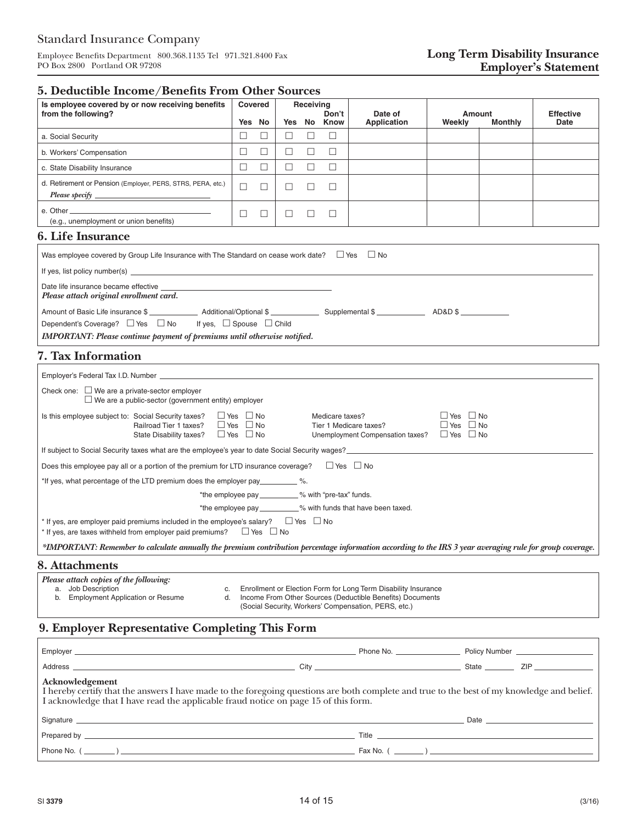Employee Benefits Department 800.368.1135 Tel 971.321.8400 Fax PO Box 2800 Portland OR 97208

# **5. Deductible Income/Benefits From Other Sources**

| caachoic mcome/ benenis 110m Omer boarees                                                                                                                                         |                                                                      |         |        |           |                      |                                                                                                                             |                                              |                          |                                 |
|-----------------------------------------------------------------------------------------------------------------------------------------------------------------------------------|----------------------------------------------------------------------|---------|--------|-----------|----------------------|-----------------------------------------------------------------------------------------------------------------------------|----------------------------------------------|--------------------------|---------------------------------|
| Is employee covered by or now receiving benefits                                                                                                                                  |                                                                      | Covered |        | Receiving |                      |                                                                                                                             |                                              |                          |                                 |
| from the following?                                                                                                                                                               |                                                                      | Yes No  |        |           | Don't<br>Yes No Know | Date of<br><b>Application</b>                                                                                               | Weekly                                       | Amount<br><b>Monthly</b> | <b>Effective</b><br><b>Date</b> |
| a. Social Security                                                                                                                                                                | $\Box$                                                               | $\Box$  | $\Box$ | $\Box$    | □                    |                                                                                                                             |                                              |                          |                                 |
| b. Workers' Compensation                                                                                                                                                          | $\Box$                                                               | $\Box$  | $\Box$ | $\Box$    | □                    |                                                                                                                             |                                              |                          |                                 |
| c. State Disability Insurance                                                                                                                                                     | $\Box$                                                               | $\Box$  | $\Box$ | $\Box$    | $\Box$               |                                                                                                                             |                                              |                          |                                 |
| d. Retirement or Pension (Employer, PERS, STRS, PERA, etc.)                                                                                                                       | $\Box$                                                               | $\Box$  | $\Box$ | $\Box$    | $\Box$               |                                                                                                                             |                                              |                          |                                 |
| (e.g., unemployment or union benefits)                                                                                                                                            | $\Box$                                                               | $\Box$  | $\Box$ | $\Box$    | $\Box$               |                                                                                                                             |                                              |                          |                                 |
| <b>6. Life Insurance</b>                                                                                                                                                          |                                                                      |         |        |           |                      |                                                                                                                             |                                              |                          |                                 |
| Was employee covered by Group Life Insurance with The Standard on cease work date? $\Box$ Yes $\Box$ No                                                                           |                                                                      |         |        |           |                      |                                                                                                                             |                                              |                          |                                 |
|                                                                                                                                                                                   |                                                                      |         |        |           |                      |                                                                                                                             |                                              |                          |                                 |
| Date life insurance became effective<br>Please attach original enrollment card.                                                                                                   |                                                                      |         |        |           |                      |                                                                                                                             |                                              |                          |                                 |
| Dependent's Coverage? □ Yes □ No<br>If yes, $\Box$ Spouse $\Box$ Child<br>IMPORTANT: Please continue payment of premiums until otherwise notified.                                |                                                                      |         |        |           |                      |                                                                                                                             |                                              |                          |                                 |
| 7. Tax Information                                                                                                                                                                |                                                                      |         |        |           |                      |                                                                                                                             |                                              |                          |                                 |
| Employer's Federal Tax I.D. Number <b>Employer's</b> Federal Tax I.D. Number                                                                                                      |                                                                      |         |        |           |                      |                                                                                                                             |                                              |                          |                                 |
| Check one: $\Box$ We are a private-sector employer<br>$\Box$ We are a public-sector (government entity) employer                                                                  |                                                                      |         |        |           |                      |                                                                                                                             |                                              |                          |                                 |
| Is this employee subject to: Social Security taxes?<br>Railroad Tier 1 taxes?<br>State Disability taxes?                                                                          | $\Box$ Yes $\Box$ No<br>$\Box$ Yes $\Box$ No<br>$\Box$ Yes $\Box$ No |         |        |           | Medicare taxes?      | Tier 1 Medicare taxes?<br>Unemployment Compensation taxes? $\Box$ Yes $\Box$ No                                             | $\Box$ Yes $\Box$ No<br>$\Box$ Yes $\Box$ No |                          |                                 |
| If subject to Social Security taxes what are the employee's year to date Social Security wages?                                                                                   |                                                                      |         |        |           |                      |                                                                                                                             |                                              |                          |                                 |
| Does this employee pay all or a portion of the premium for LTD insurance coverage? $\Box$ Yes $\Box$ No                                                                           |                                                                      |         |        |           |                      |                                                                                                                             |                                              |                          |                                 |
| *If yes, what percentage of the LTD premium does the employer pay___________%.                                                                                                    |                                                                      |         |        |           |                      |                                                                                                                             |                                              |                          |                                 |
| *the employee pay _________ % with "pre-tax" funds.                                                                                                                               |                                                                      |         |        |           |                      |                                                                                                                             |                                              |                          |                                 |
| *the employee pay __________% with funds that have been taxed.                                                                                                                    |                                                                      |         |        |           |                      |                                                                                                                             |                                              |                          |                                 |
| * If yes, are employer paid premiums included in the employee's salary? $\Box$ Yes $\Box$ No<br>* If yes, are taxes withheld from employer paid premiums?<br>$\Box$ Yes $\Box$ No |                                                                      |         |        |           |                      |                                                                                                                             |                                              |                          |                                 |
| *IMPORTANT: Remember to calculate annually the premium contribution percentage information according to the IRS 3 year averaging rule for group coverage.                         |                                                                      |         |        |           |                      |                                                                                                                             |                                              |                          |                                 |
| 8. Attachments                                                                                                                                                                    |                                                                      |         |        |           |                      |                                                                                                                             |                                              |                          |                                 |
| Please attach copies of the following:<br>a. Job Description<br>c.<br>b. Employment Application or Resume<br>d.                                                                   |                                                                      |         |        |           |                      | Enrollment or Election Form for Long Term Disability Insurance<br>Income From Other Sources (Deductible Benefits) Documents |                                              |                          |                                 |

(Social Security, Workers' Compensation, PERS, etc.)

# **9. Employer Representative Completing This Form**

| Acknowledgement<br>I hereby certify that the answers I have made to the foregoing questions are both complete and true to the best of my knowledge and belief.<br>I acknowledge that I have read the applicable fraud notice on page 15 of this form. |  |  |                                                                                                                                                                                                                                |  |  |  |  |  |
|-------------------------------------------------------------------------------------------------------------------------------------------------------------------------------------------------------------------------------------------------------|--|--|--------------------------------------------------------------------------------------------------------------------------------------------------------------------------------------------------------------------------------|--|--|--|--|--|
|                                                                                                                                                                                                                                                       |  |  | Date and the contract of the contract of the contract of the contract of the contract of the contract of the contract of the contract of the contract of the contract of the contract of the contract of the contract of the c |  |  |  |  |  |
|                                                                                                                                                                                                                                                       |  |  |                                                                                                                                                                                                                                |  |  |  |  |  |
|                                                                                                                                                                                                                                                       |  |  |                                                                                                                                                                                                                                |  |  |  |  |  |